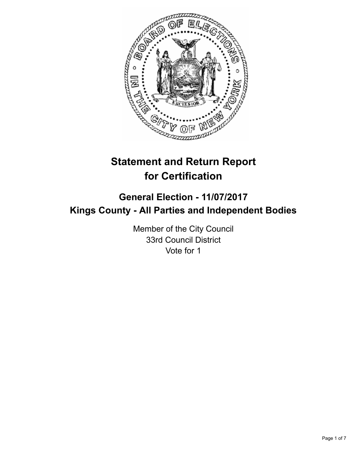

# **Statement and Return Report for Certification**

# **General Election - 11/07/2017 Kings County - All Parties and Independent Bodies**

Member of the City Council 33rd Council District Vote for 1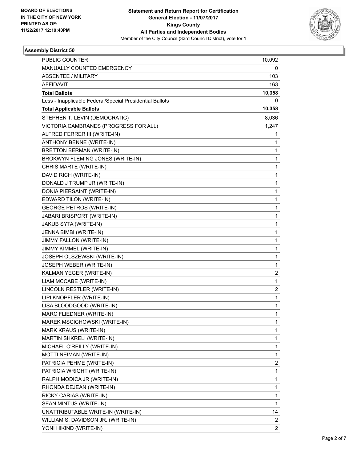

#### **Assembly District 50**

| <b>PUBLIC COUNTER</b>                                    | 10,092         |
|----------------------------------------------------------|----------------|
| MANUALLY COUNTED EMERGENCY                               | 0              |
| <b>ABSENTEE / MILITARY</b>                               | 103            |
| <b>AFFIDAVIT</b>                                         | 163            |
| <b>Total Ballots</b>                                     | 10,358         |
| Less - Inapplicable Federal/Special Presidential Ballots | 0              |
| <b>Total Applicable Ballots</b>                          | 10,358         |
| STEPHEN T. LEVIN (DEMOCRATIC)                            | 8,036          |
| VICTORIA CAMBRANES (PROGRESS FOR ALL)                    | 1,247          |
| ALFRED FERRER III (WRITE-IN)                             | 1              |
| ANTHONY BENNE (WRITE-IN)                                 | 1              |
| BRETTON BERMAN (WRITE-IN)                                | 1              |
| BROKWYN FLEMING JONES (WRITE-IN)                         | 1              |
| CHRIS MARTE (WRITE-IN)                                   | 1              |
| DAVID RICH (WRITE-IN)                                    | 1              |
| DONALD J TRUMP JR (WRITE-IN)                             | 1              |
| DONIA PIERSAINT (WRITE-IN)                               | 1              |
| EDWARD TILON (WRITE-IN)                                  | 1              |
| <b>GEORGE PETROS (WRITE-IN)</b>                          | 1              |
| <b>JABARI BRISPORT (WRITE-IN)</b>                        | 1              |
| JAKUB SYTA (WRITE-IN)                                    | 1              |
| JENNA BIMBI (WRITE-IN)                                   | 1              |
| JIMMY FALLON (WRITE-IN)                                  | 1              |
| JIMMY KIMMEL (WRITE-IN)                                  | 1              |
| JOSEPH OLSZEWSKI (WRITE-IN)                              | $\mathbf{1}$   |
| JOSEPH WEBER (WRITE-IN)                                  | 1              |
| KALMAN YEGER (WRITE-IN)                                  | 2              |
| LIAM MCCABE (WRITE-IN)                                   | 1              |
| LINCOLN RESTLER (WRITE-IN)                               | 2              |
| LIPI KNOPFLER (WRITE-IN)                                 | 1              |
| LISA BLOODGOOD (WRITE-IN)                                | 1              |
| MARC FLIEDNER (WRITE-IN)                                 | 1              |
| MAREK MSCICHOWSKI (WRITE-IN)                             | 1              |
| MARK KRAUS (WRITE-IN)                                    | $\mathbf{1}$   |
| MARTIN SHKRELI (WRITE-IN)                                | 1              |
| MICHAEL O'REILLY (WRITE-IN)                              | 1              |
| MOTTI NEIMAN (WRITE-IN)                                  | $\mathbf{1}$   |
| PATRICIA PEHME (WRITE-IN)                                | 2              |
| PATRICIA WRIGHT (WRITE-IN)                               | $\mathbf{1}$   |
| RALPH MODICA JR (WRITE-IN)                               | $\mathbf{1}$   |
| RHONDA DEJEAN (WRITE-IN)                                 | 1              |
| RICKY CARIAS (WRITE-IN)                                  | 1              |
| SEAN MINTUS (WRITE-IN)                                   | $\mathbf{1}$   |
| UNATTRIBUTABLE WRITE-IN (WRITE-IN)                       | 14             |
| WILLIAM S. DAVIDSON JR. (WRITE-IN)                       | 2              |
| YONI HIKIND (WRITE-IN)                                   | $\overline{2}$ |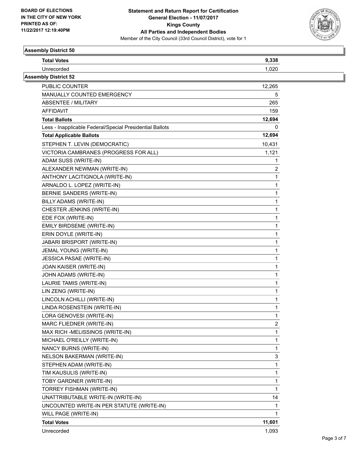

#### **Assembly District 50**

| <b>Total Votes</b>                                       | 9,338  |  |
|----------------------------------------------------------|--------|--|
| Unrecorded                                               | 1,020  |  |
| <b>Assembly District 52</b>                              |        |  |
| PUBLIC COUNTER                                           | 12,265 |  |
| MANUALLY COUNTED EMERGENCY                               | 5      |  |
| <b>ABSENTEE / MILITARY</b>                               | 265    |  |
| <b>AFFIDAVIT</b>                                         | 159    |  |
| <b>Total Ballots</b>                                     | 12,694 |  |
| Less - Inapplicable Federal/Special Presidential Ballots | 0      |  |
| <b>Total Applicable Ballots</b>                          | 12,694 |  |
| STEPHEN T. LEVIN (DEMOCRATIC)                            | 10,431 |  |
| VICTORIA CAMBRANES (PROGRESS FOR ALL)                    | 1,121  |  |
| ADAM SUSS (WRITE-IN)                                     | 1      |  |
| ALEXANDER NEWMAN (WRITE-IN)                              | 2      |  |
| ANTHONY LACITIGNOLA (WRITE-IN)                           | 1      |  |
| ARNALDO L. LOPEZ (WRITE-IN)                              | 1      |  |
| BERNIE SANDERS (WRITE-IN)                                | 1      |  |
| BILLY ADAMS (WRITE-IN)                                   | 1      |  |
| CHESTER JENKINS (WRITE-IN)                               | 1      |  |
| EDE FOX (WRITE-IN)                                       | 1      |  |
| EMILY BIRDSEME (WRITE-IN)                                | 1      |  |
| ERIN DOYLE (WRITE-IN)                                    | 1      |  |
| JABARI BRISPORT (WRITE-IN)                               | 1      |  |
| JEMAL YOUNG (WRITE-IN)                                   | 1      |  |
| JESSICA PASAE (WRITE-IN)                                 | 1      |  |
| JOAN KAISER (WRITE-IN)                                   | 1      |  |
| JOHN ADAMS (WRITE-IN)                                    | 1      |  |
| LAURIE TAMIS (WRITE-IN)                                  | 1      |  |
| LIN ZENG (WRITE-IN)                                      | 1      |  |
| LINCOLN ACHILLI (WRITE-IN)                               | 1      |  |
| LINDA ROSENSTEIN (WRITE-IN)                              | 1      |  |
| LORA GENOVESI (WRITE-IN)                                 | 1      |  |
| MARC FLIEDNER (WRITE-IN)                                 | 2      |  |
| MAX RICH -MELISSINOS (WRITE-IN)                          | 1      |  |
| MICHAEL O'REILLY (WRITE-IN)                              | 1      |  |
| NANCY BURNS (WRITE-IN)                                   | 1      |  |
| NELSON BAKERMAN (WRITE-IN)                               | 3      |  |
| STEPHEN ADAM (WRITE-IN)                                  | 1      |  |
| TIM KAUSULIS (WRITE-IN)                                  | 1      |  |
| TOBY GARDNER (WRITE-IN)                                  | 1      |  |
| TORREY FISHMAN (WRITE-IN)                                | 1      |  |
| UNATTRIBUTABLE WRITE-IN (WRITE-IN)                       | 14     |  |
| UNCOUNTED WRITE-IN PER STATUTE (WRITE-IN)                | 1      |  |
| WILL PAGE (WRITE-IN)                                     | 1      |  |
| <b>Total Votes</b>                                       | 11,601 |  |
| Unrecorded                                               | 1,093  |  |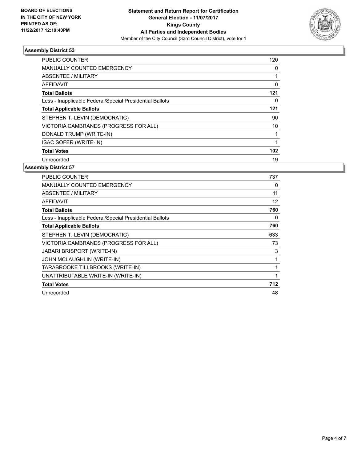

#### **Assembly District 53**

| 120 |
|-----|
| 0   |
|     |
| 0   |
| 121 |
| 0   |
| 121 |
| 90  |
| 10  |
|     |
|     |
| 102 |
| 19  |
|     |

#### **Assembly District 57**

| <b>PUBLIC COUNTER</b>                                    | 737 |
|----------------------------------------------------------|-----|
| <b>MANUALLY COUNTED EMERGENCY</b>                        | 0   |
| ABSENTEE / MILITARY                                      | 11  |
| <b>AFFIDAVIT</b>                                         | 12  |
| <b>Total Ballots</b>                                     | 760 |
| Less - Inapplicable Federal/Special Presidential Ballots | 0   |
| <b>Total Applicable Ballots</b>                          | 760 |
| STEPHEN T. LEVIN (DEMOCRATIC)                            | 633 |
| VICTORIA CAMBRANES (PROGRESS FOR ALL)                    | 73  |
| <b>JABARI BRISPORT (WRITE-IN)</b>                        | 3   |
| <b>JOHN MCLAUGHLIN (WRITE-IN)</b>                        |     |
| TARABROOKE TILLBROOKS (WRITE-IN)                         |     |
| UNATTRIBUTABLE WRITE-IN (WRITE-IN)                       |     |
| <b>Total Votes</b>                                       | 712 |
| Unrecorded                                               | 48  |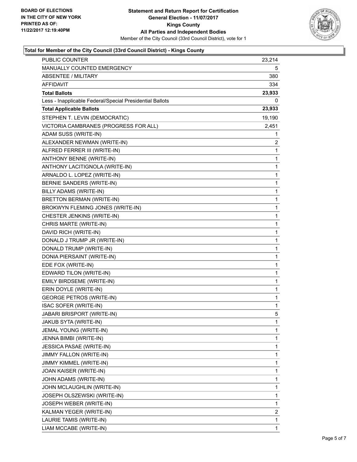

## **Total for Member of the City Council (33rd Council District) - Kings County**

| PUBLIC COUNTER                                           | 23,214       |
|----------------------------------------------------------|--------------|
| MANUALLY COUNTED EMERGENCY                               | 5            |
| ABSENTEE / MILITARY                                      | 380          |
| AFFIDAVIT                                                | 334          |
| <b>Total Ballots</b>                                     | 23,933       |
| Less - Inapplicable Federal/Special Presidential Ballots | 0            |
| <b>Total Applicable Ballots</b>                          | 23,933       |
| STEPHEN T. LEVIN (DEMOCRATIC)                            | 19,190       |
| VICTORIA CAMBRANES (PROGRESS FOR ALL)                    | 2,451        |
| ADAM SUSS (WRITE-IN)                                     | 1            |
| ALEXANDER NEWMAN (WRITE-IN)                              | 2            |
| ALFRED FERRER III (WRITE-IN)                             | 1            |
| ANTHONY BENNE (WRITE-IN)                                 | $\mathbf{1}$ |
| ANTHONY LACITIGNOLA (WRITE-IN)                           | 1            |
| ARNALDO L. LOPEZ (WRITE-IN)                              | 1            |
| BERNIE SANDERS (WRITE-IN)                                | 1            |
| BILLY ADAMS (WRITE-IN)                                   | 1            |
| <b>BRETTON BERMAN (WRITE-IN)</b>                         | 1            |
| BROKWYN FLEMING JONES (WRITE-IN)                         | 1            |
| CHESTER JENKINS (WRITE-IN)                               | 1            |
| CHRIS MARTE (WRITE-IN)                                   | $\mathbf{1}$ |
| DAVID RICH (WRITE-IN)                                    | 1            |
| DONALD J TRUMP JR (WRITE-IN)                             | 1            |
| DONALD TRUMP (WRITE-IN)                                  | 1            |
| DONIA PIERSAINT (WRITE-IN)                               | 1            |
| EDE FOX (WRITE-IN)                                       | 1            |
| EDWARD TILON (WRITE-IN)                                  | 1            |
| EMILY BIRDSEME (WRITE-IN)                                | 1            |
| ERIN DOYLE (WRITE-IN)                                    | 1            |
| <b>GEORGE PETROS (WRITE-IN)</b>                          | 1            |
| ISAC SOFER (WRITE-IN)                                    | 1            |
| JABARI BRISPORT (WRITE-IN)                               | 5            |
| JAKUB SYTA (WRITE-IN)                                    | 1            |
| JEMAL YOUNG (WRITE-IN)                                   | 1            |
| JENNA BIMBI (WRITE-IN)                                   | 1            |
| JESSICA PASAE (WRITE-IN)                                 | 1            |
| JIMMY FALLON (WRITE-IN)                                  | 1            |
| JIMMY KIMMEL (WRITE-IN)                                  | 1            |
| JOAN KAISER (WRITE-IN)                                   | 1            |
| JOHN ADAMS (WRITE-IN)                                    | 1            |
| JOHN MCLAUGHLIN (WRITE-IN)                               | 1            |
| JOSEPH OLSZEWSKI (WRITE-IN)                              | 1            |
| JOSEPH WEBER (WRITE-IN)                                  | 1            |
| KALMAN YEGER (WRITE-IN)                                  | 2            |
| LAURIE TAMIS (WRITE-IN)                                  | 1            |
| LIAM MCCABE (WRITE-IN)                                   | 1            |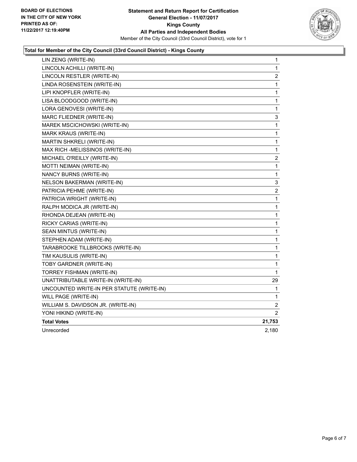

## **Total for Member of the City Council (33rd Council District) - Kings County**

| LIN ZENG (WRITE-IN)                       | 1                     |
|-------------------------------------------|-----------------------|
| LINCOLN ACHILLI (WRITE-IN)                | 1                     |
| LINCOLN RESTLER (WRITE-IN)                | 2                     |
| LINDA ROSENSTEIN (WRITE-IN)               | 1                     |
| LIPI KNOPFLER (WRITE-IN)                  | 1                     |
| LISA BLOODGOOD (WRITE-IN)                 | 1                     |
| LORA GENOVESI (WRITE-IN)                  | 1                     |
| MARC FLIEDNER (WRITE-IN)                  | 3                     |
| MAREK MSCICHOWSKI (WRITE-IN)              | 1                     |
| <b>MARK KRAUS (WRITE-IN)</b>              | 1                     |
| <b>MARTIN SHKRELI (WRITE-IN)</b>          | 1                     |
| MAX RICH -MELISSINOS (WRITE-IN)           | 1                     |
| MICHAEL O'REILLY (WRITE-IN)               | 2                     |
| MOTTI NEIMAN (WRITE-IN)                   | 1                     |
| NANCY BURNS (WRITE-IN)                    | 1                     |
| NELSON BAKERMAN (WRITE-IN)                | 3                     |
| PATRICIA PEHME (WRITE-IN)                 | 2                     |
| PATRICIA WRIGHT (WRITE-IN)                | 1                     |
| RALPH MODICA JR (WRITE-IN)                | 1                     |
| RHONDA DEJEAN (WRITE-IN)                  | 1                     |
| RICKY CARIAS (WRITE-IN)                   | 1                     |
| SEAN MINTUS (WRITE-IN)                    | 1                     |
| STEPHEN ADAM (WRITE-IN)                   | 1                     |
| TARABROOKE TILLBROOKS (WRITE-IN)          | 1                     |
| TIM KAUSULIS (WRITE-IN)                   | 1                     |
| TOBY GARDNER (WRITE-IN)                   | 1                     |
| TORREY FISHMAN (WRITE-IN)                 | 1                     |
| UNATTRIBUTABLE WRITE-IN (WRITE-IN)        | 29                    |
| UNCOUNTED WRITE-IN PER STATUTE (WRITE-IN) | 1                     |
| WILL PAGE (WRITE-IN)                      | 1                     |
| WILLIAM S. DAVIDSON JR. (WRITE-IN)        | 2                     |
| YONI HIKIND (WRITE-IN)                    | $\mathbf{2}^{\prime}$ |
| <b>Total Votes</b>                        | 21,753                |
| Unrecorded                                | 2,180                 |